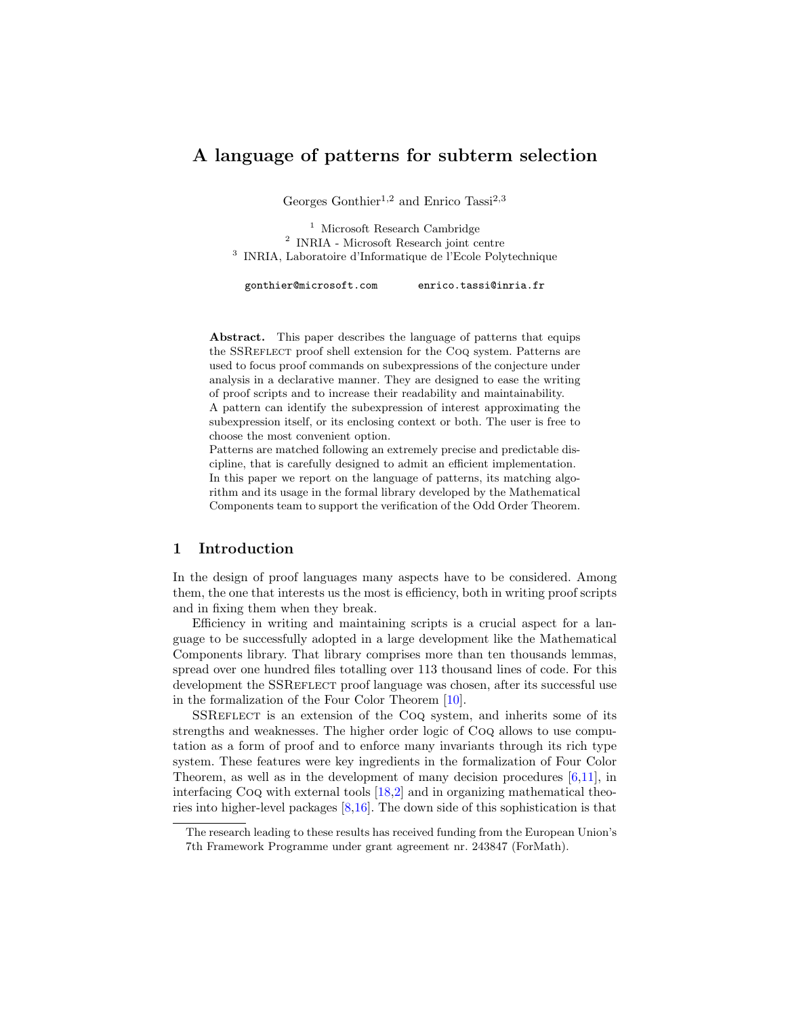# A language of patterns for subterm selection

Georges Gonthier<sup>1,2</sup> and Enrico Tassi<sup>2,3</sup>

<sup>1</sup> Microsoft Research Cambridge 2 INRIA - Microsoft Research joint centre 3 INRIA, Laboratoire d'Informatique de l'Ecole Polytechnique

gonthier@microsoft.com enrico.tassi@inria.fr

Abstract. This paper describes the language of patterns that equips the SSREFLECT proof shell extension for the CoQ system. Patterns are used to focus proof commands on subexpressions of the conjecture under analysis in a declarative manner. They are designed to ease the writing of proof scripts and to increase their readability and maintainability.

A pattern can identify the subexpression of interest approximating the subexpression itself, or its enclosing context or both. The user is free to choose the most convenient option.

Patterns are matched following an extremely precise and predictable discipline, that is carefully designed to admit an efficient implementation. In this paper we report on the language of patterns, its matching algorithm and its usage in the formal library developed by the Mathematical Components team to support the verification of the Odd Order Theorem.

## 1 Introduction

In the design of proof languages many aspects have to be considered. Among them, the one that interests us the most is efficiency, both in writing proof scripts and in fixing them when they break.

Efficiency in writing and maintaining scripts is a crucial aspect for a language to be successfully adopted in a large development like the Mathematical Components library. That library comprises more than ten thousands lemmas, spread over one hundred files totalling over 113 thousand lines of code. For this development the SSREFLECT proof language was chosen, after its successful use in the formalization of the Four Color Theorem [\[10\]](#page-15-0).

SSREFLECT is an extension of the CoQ system, and inherits some of its strengths and weaknesses. The higher order logic of Coq allows to use computation as a form of proof and to enforce many invariants through its rich type system. These features were key ingredients in the formalization of Four Color Theorem, as well as in the development of many decision procedures  $[6,11]$  $[6,11]$ , in interfacing Coq with external tools [\[18](#page-15-3)[,2\]](#page-15-4) and in organizing mathematical theories into higher-level packages  $[8,16]$  $[8,16]$ . The down side of this sophistication is that

<span id="page-0-0"></span>The research leading to these results has received funding from the European Union's 7th Framework Programme under grant agreement nr. 243847 (ForMath).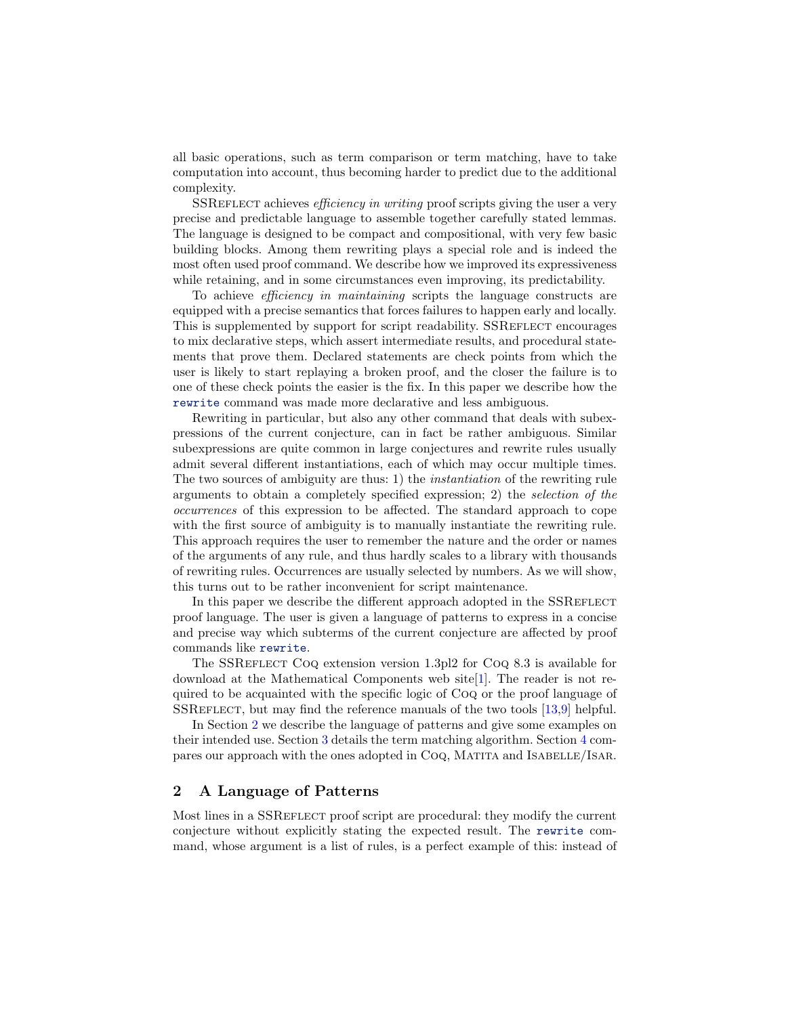all basic operations, such as term comparison or term matching, have to take computation into account, thus becoming harder to predict due to the additional complexity.

 $SSREFLECT$  achieves *efficiency in writing* proof scripts giving the user a very precise and predictable language to assemble together carefully stated lemmas. The language is designed to be compact and compositional, with very few basic building blocks. Among them rewriting plays a special role and is indeed the most often used proof command. We describe how we improved its expressiveness while retaining, and in some circumstances even improving, its predictability.

To achieve efficiency in maintaining scripts the language constructs are equipped with a precise semantics that forces failures to happen early and locally. This is supplemented by support for script readability. SSREFLECT encourages to mix declarative steps, which assert intermediate results, and procedural statements that prove them. Declared statements are check points from which the user is likely to start replaying a broken proof, and the closer the failure is to one of these check points the easier is the fix. In this paper we describe how the rewrite command was made more declarative and less ambiguous.

Rewriting in particular, but also any other command that deals with subexpressions of the current conjecture, can in fact be rather ambiguous. Similar subexpressions are quite common in large conjectures and rewrite rules usually admit several different instantiations, each of which may occur multiple times. The two sources of ambiguity are thus: 1) the instantiation of the rewriting rule arguments to obtain a completely specified expression; 2) the selection of the occurrences of this expression to be affected. The standard approach to cope with the first source of ambiguity is to manually instantiate the rewriting rule. This approach requires the user to remember the nature and the order or names of the arguments of any rule, and thus hardly scales to a library with thousands of rewriting rules. Occurrences are usually selected by numbers. As we will show, this turns out to be rather inconvenient for script maintenance.

In this paper we describe the different approach adopted in the SSREFLECT proof language. The user is given a language of patterns to express in a concise and precise way which subterms of the current conjecture are affected by proof commands like rewrite.

The SSReflect Coq extension version 1.3pl2 for Coq 8.3 is available for download at the Mathematical Components web site[\[1\]](#page-15-7). The reader is not required to be acquainted with the specific logic of Coq or the proof language of SSREFLECT, but may find the reference manuals of the two tools  $[13,9]$  $[13,9]$  helpful.

In Section [2](#page-1-0) we describe the language of patterns and give some examples on their intended use. Section [3](#page-10-0) details the term matching algorithm. Section [4](#page-13-0) compares our approach with the ones adopted in CoQ, MATITA and ISABELLE/ISAR.

## <span id="page-1-0"></span>2 A Language of Patterns

Most lines in a SSREFLECT proof script are procedural: they modify the current conjecture without explicitly stating the expected result. The rewrite command, whose argument is a list of rules, is a perfect example of this: instead of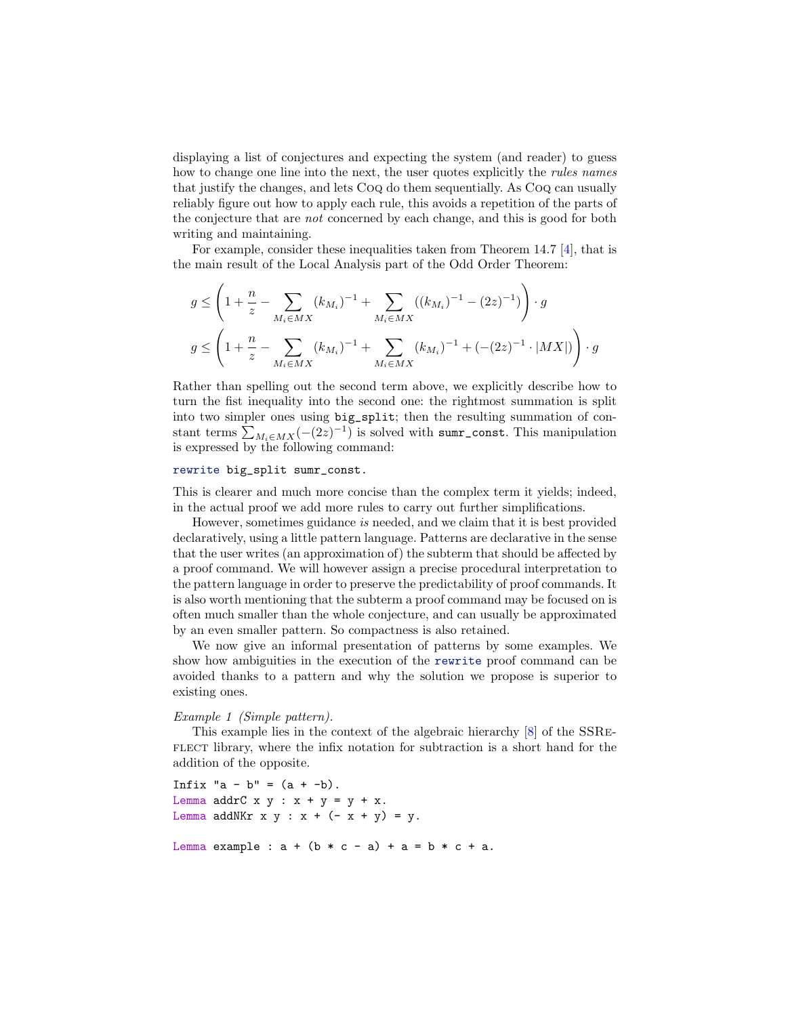displaying a list of conjectures and expecting the system (and reader) to guess how to change one line into the next, the user quotes explicitly the *rules names* that justify the changes, and lets Coq do them sequentially. As Coq can usually reliably figure out how to apply each rule, this avoids a repetition of the parts of the conjecture that are not concerned by each change, and this is good for both writing and maintaining.

For example, consider these inequalities taken from Theorem 14.7 [\[4\]](#page-15-10), that is the main result of the Local Analysis part of the Odd Order Theorem:

$$
g \le \left(1 + \frac{n}{z} - \sum_{M_i \in MX} (k_{M_i})^{-1} + \sum_{M_i \in MX} ((k_{M_i})^{-1} - (2z)^{-1})\right) \cdot g
$$
  

$$
g \le \left(1 + \frac{n}{z} - \sum_{M_i \in MX} (k_{M_i})^{-1} + \sum_{M_i \in MX} (k_{M_i})^{-1} + (-(2z)^{-1} \cdot |MX|)\right) \cdot g
$$

Rather than spelling out the second term above, we explicitly describe how to turn the fist inequality into the second one: the rightmost summation is split into two simpler ones using big\_split; then the resulting summation of constant terms  $\sum_{M_i \in MX}(-(2z)^{-1})$  is solved with sum r\_const. This manipulation is expressed by the following command:

#### rewrite big\_split sumr\_const.

This is clearer and much more concise than the complex term it yields; indeed, in the actual proof we add more rules to carry out further simplifications.

However, sometimes guidance is needed, and we claim that it is best provided declaratively, using a little pattern language. Patterns are declarative in the sense that the user writes (an approximation of) the subterm that should be affected by a proof command. We will however assign a precise procedural interpretation to the pattern language in order to preserve the predictability of proof commands. It is also worth mentioning that the subterm a proof command may be focused on is often much smaller than the whole conjecture, and can usually be approximated by an even smaller pattern. So compactness is also retained.

We now give an informal presentation of patterns by some examples. We show how ambiguities in the execution of the rewrite proof command can be avoided thanks to a pattern and why the solution we propose is superior to existing ones.

#### <span id="page-2-0"></span>Example 1 (Simple pattern).

This example lies in the context of the algebraic hierarchy [\[8\]](#page-15-5) of the SSRe-FLECT library, where the infix notation for subtraction is a short hand for the addition of the opposite.

Infix "a - b" =  $(a + -b)$ . Lemma addrC  $x y : x + y = y + x$ . Lemma addNKr  $x y : x + (-x + y) = y$ . Lemma example :  $a + (b * c - a) + a = b * c + a$ .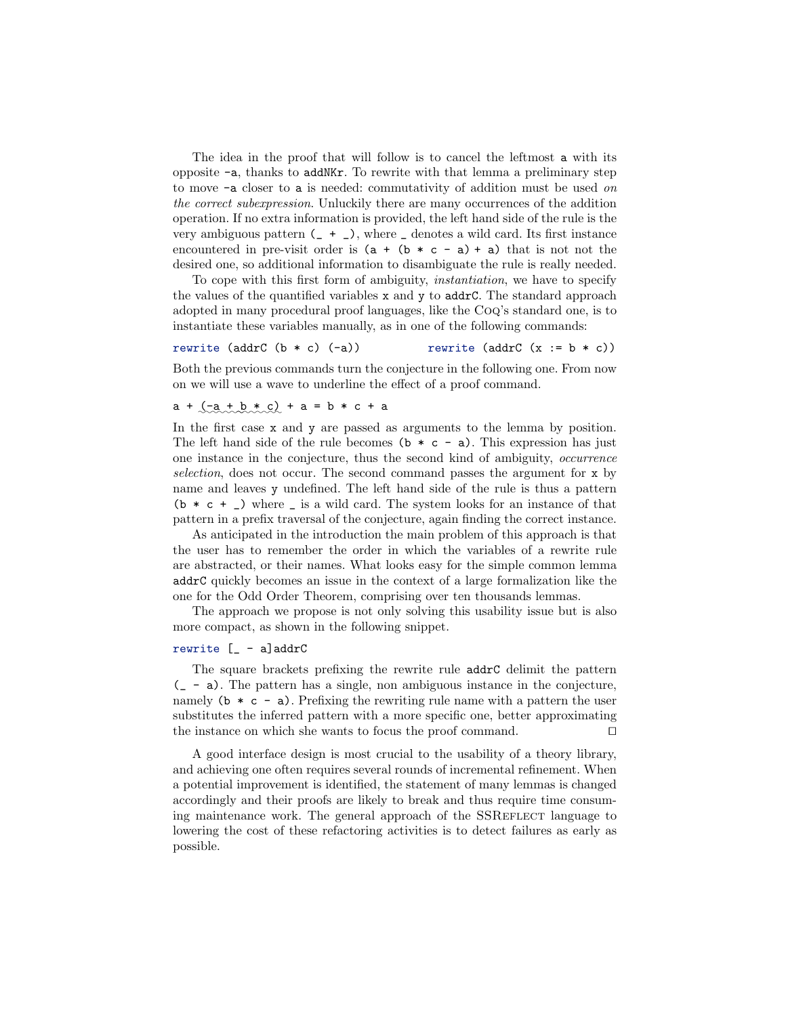The idea in the proof that will follow is to cancel the leftmost a with its opposite -a, thanks to addNKr. To rewrite with that lemma a preliminary step to move  $-a$  closer to a is needed: commutativity of addition must be used on the correct subexpression. Unluckily there are many occurrences of the addition operation. If no extra information is provided, the left hand side of the rule is the very ambiguous pattern  $($  +  $)$ , where  $\angle$  denotes a wild card. Its first instance encountered in pre-visit order is  $(a + (b * c - a) + a)$  that is not not the desired one, so additional information to disambiguate the rule is really needed.

To cope with this first form of ambiguity, instantiation, we have to specify the values of the quantified variables x and y to addrC. The standard approach adopted in many procedural proof languages, like the Coq's standard one, is to instantiate these variables manually, as in one of the following commands:

rewrite  $(addrC (b * c) (-a))$  rewrite  $(addrC (x := b * c))$ 

Both the previous commands turn the conjecture in the following one. From now on we will use a wave to underline the effect of a proof command.

$$
a + \underbrace{(-a + b * c)}_{\sim\sim\sim\sim\sim\sim\sim\sim} + a = b * c + a
$$

In the first case x and y are passed as arguments to the lemma by position. The left hand side of the rule becomes  $(b * c - a)$ . This expression has just one instance in the conjecture, thus the second kind of ambiguity, occurrence selection, does not occur. The second command passes the argument for x by name and leaves y undefined. The left hand side of the rule is thus a pattern  $(b * c + )$  where  $\overline{\phantom{a}}$  is a wild card. The system looks for an instance of that pattern in a prefix traversal of the conjecture, again finding the correct instance.

As anticipated in the introduction the main problem of this approach is that the user has to remember the order in which the variables of a rewrite rule are abstracted, or their names. What looks easy for the simple common lemma addrC quickly becomes an issue in the context of a large formalization like the one for the Odd Order Theorem, comprising over ten thousands lemmas.

The approach we propose is not only solving this usability issue but is also more compact, as shown in the following snippet.

### rewrite [\_ - a]addrC

The square brackets prefixing the rewrite rule addrC delimit the pattern  $(- - a)$ . The pattern has a single, non ambiguous instance in the conjecture, namely ( $\mathbf{b} \cdot \mathbf{c}$  - a). Prefixing the rewriting rule name with a pattern the user substitutes the inferred pattern with a more specific one, better approximating the instance on which she wants to focus the proof command.  $\Box$ 

A good interface design is most crucial to the usability of a theory library, and achieving one often requires several rounds of incremental refinement. When a potential improvement is identified, the statement of many lemmas is changed accordingly and their proofs are likely to break and thus require time consuming maintenance work. The general approach of the SSREFLECT language to lowering the cost of these refactoring activities is to detect failures as early as possible.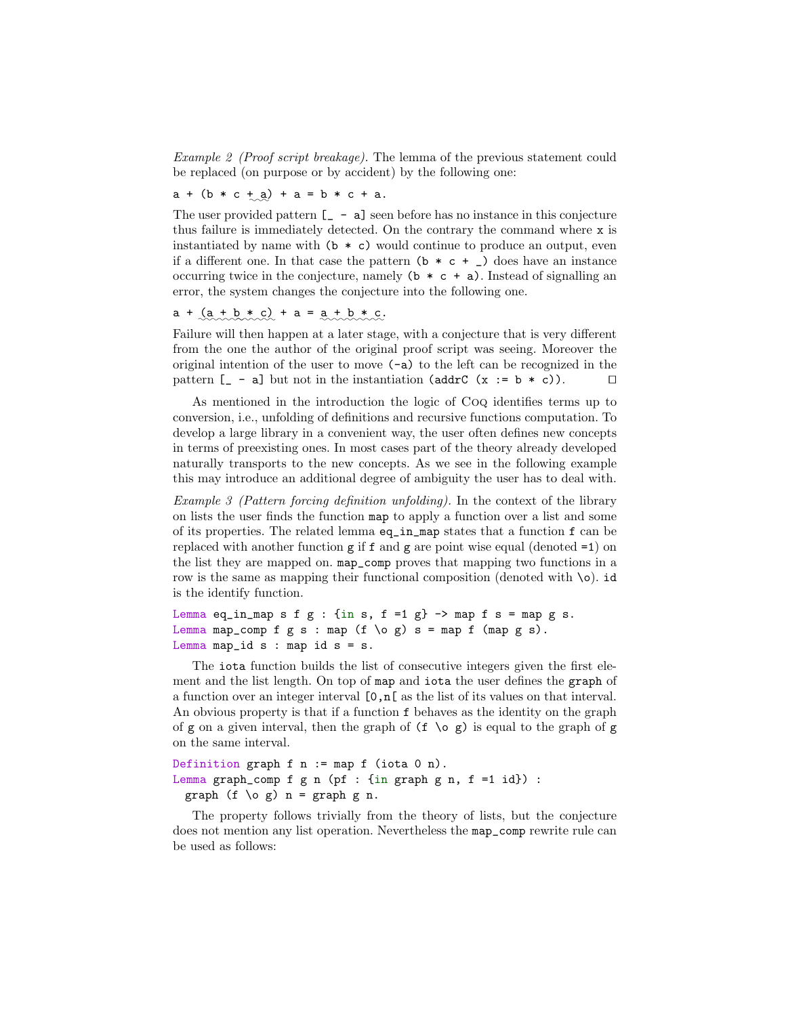Example 2 (Proof script breakage). The lemma of the previous statement could be replaced (on purpose or by accident) by the following one:

 $a + (b * c + a) + a = b * c + a.$ 

The user provided pattern  $\begin{bmatrix} - & a \end{bmatrix}$  seen before has no instance in this conjecture thus failure is immediately detected. On the contrary the command where x is instantiated by name with  $(b * c)$  would continue to produce an output, even if a different one. In that case the pattern  $(b * c + \_)$  does have an instance occurring twice in the conjecture, namely  $(b * c + a)$ . Instead of signalling an error, the system changes the conjecture into the following one.

 $a + (a + b * c) + a = a + b * c.$ 

Failure will then happen at a later stage, with a conjecture that is very different from the one the author of the original proof script was seeing. Moreover the original intention of the user to move  $(-a)$  to the left can be recognized in the pattern  $[- - a]$  but not in the instantiation (addrC (x := b \* c)).

As mentioned in the introduction the logic of Coq identifies terms up to conversion, i.e., unfolding of definitions and recursive functions computation. To develop a large library in a convenient way, the user often defines new concepts in terms of preexisting ones. In most cases part of the theory already developed naturally transports to the new concepts. As we see in the following example this may introduce an additional degree of ambiguity the user has to deal with.

<span id="page-4-0"></span>Example 3 (Pattern forcing definition unfolding). In the context of the library on lists the user finds the function map to apply a function over a list and some of its properties. The related lemma eq\_in\_map states that a function f can be replaced with another function g if f and g are point wise equal (denoted =1) on the list they are mapped on. map\_comp proves that mapping two functions in a row is the same as mapping their functional composition (denoted with  $\lozenge$ ). id is the identify function.

```
Lemma eq_in_map s f g : \{in s, f =1 g\} \rightarrow map f s = map g s.Lemma map_comp f g s : map (f \ o g) s = map f (map g s).
Lemma map_id s : map id s = s.
```
The iota function builds the list of consecutive integers given the first element and the list length. On top of map and iota the user defines the graph of a function over an integer interval [0,n[ as the list of its values on that interval. An obvious property is that if a function f behaves as the identity on the graph of g on a given interval, then the graph of  $(f \ o g)$  is equal to the graph of g on the same interval.

```
Definition graph f n := map f (iota 0 n).
Lemma graph_comp f g n (pf : {in graph g n, f = 1 id}) :
 graph (f \log) n = graph g n.
```
The property follows trivially from the theory of lists, but the conjecture does not mention any list operation. Nevertheless the map\_comp rewrite rule can be used as follows: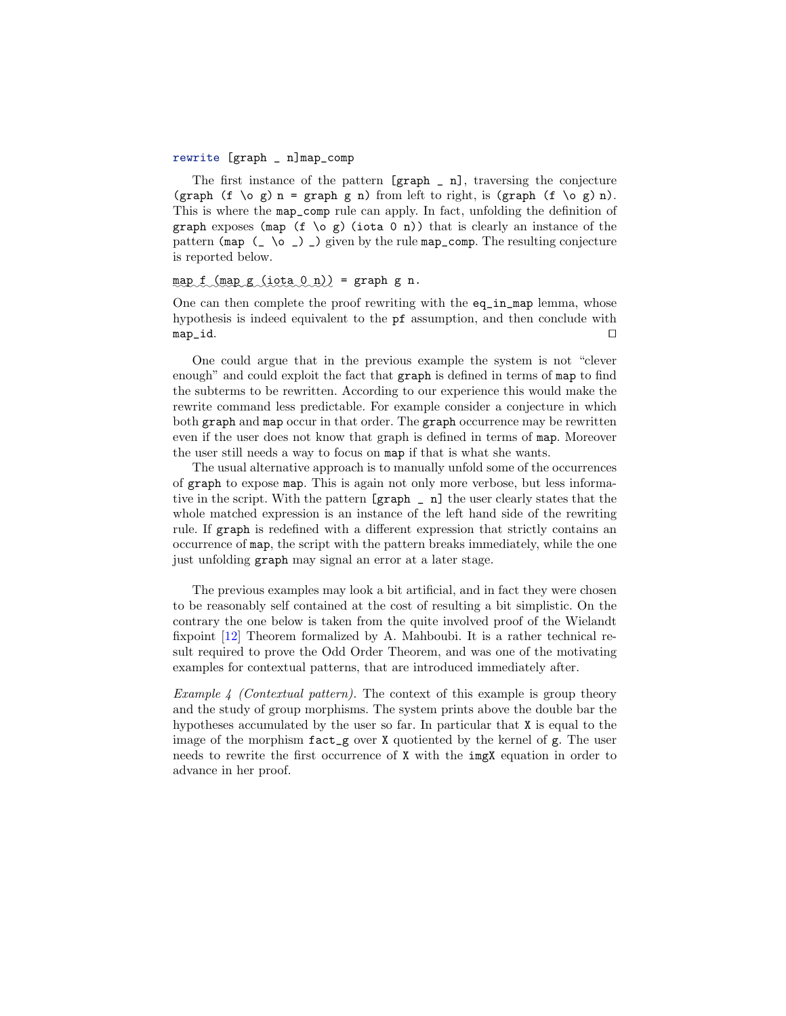#### rewrite [graph \_ n]map\_comp

The first instance of the pattern [graph \_ n], traversing the conjecture (graph (f  $\log n =$  graph g n) from left to right, is (graph (f  $\log n$ ). This is where the map\_comp rule can apply. In fact, unfolding the definition of graph exposes (map (f \o g) (iota 0 n)) that is clearly an instance of the pattern (map  $(\underline{\hspace{1cm}} \setminus \circ \underline{\hspace{1cm}})$ ) given by the rule map\_comp. The resulting conjecture is reported below.

## $map_{\infty} f(\text{map}_{\alpha} g(\text{iota}_{\alpha} 0 n)) = \text{graph } g n.$

One can then complete the proof rewriting with the eq\_in\_map lemma, whose hypothesis is indeed equivalent to the pf assumption, and then conclude with  $\Box$ map\_id.  $\Box$ 

One could argue that in the previous example the system is not "clever enough" and could exploit the fact that graph is defined in terms of map to find the subterms to be rewritten. According to our experience this would make the rewrite command less predictable. For example consider a conjecture in which both graph and map occur in that order. The graph occurrence may be rewritten even if the user does not know that graph is defined in terms of map. Moreover the user still needs a way to focus on map if that is what she wants.

The usual alternative approach is to manually unfold some of the occurrences of graph to expose map. This is again not only more verbose, but less informative in the script. With the pattern [graph \_ n] the user clearly states that the whole matched expression is an instance of the left hand side of the rewriting rule. If graph is redefined with a different expression that strictly contains an occurrence of map, the script with the pattern breaks immediately, while the one just unfolding graph may signal an error at a later stage.

The previous examples may look a bit artificial, and in fact they were chosen to be reasonably self contained at the cost of resulting a bit simplistic. On the contrary the one below is taken from the quite involved proof of the Wielandt fixpoint [\[12\]](#page-15-11) Theorem formalized by A. Mahboubi. It is a rather technical result required to prove the Odd Order Theorem, and was one of the motivating examples for contextual patterns, that are introduced immediately after.

<span id="page-5-0"></span>Example 4 (Contextual pattern). The context of this example is group theory and the study of group morphisms. The system prints above the double bar the hypotheses accumulated by the user so far. In particular that X is equal to the image of the morphism fact\_g over X quotiented by the kernel of g. The user needs to rewrite the first occurrence of X with the imgX equation in order to advance in her proof.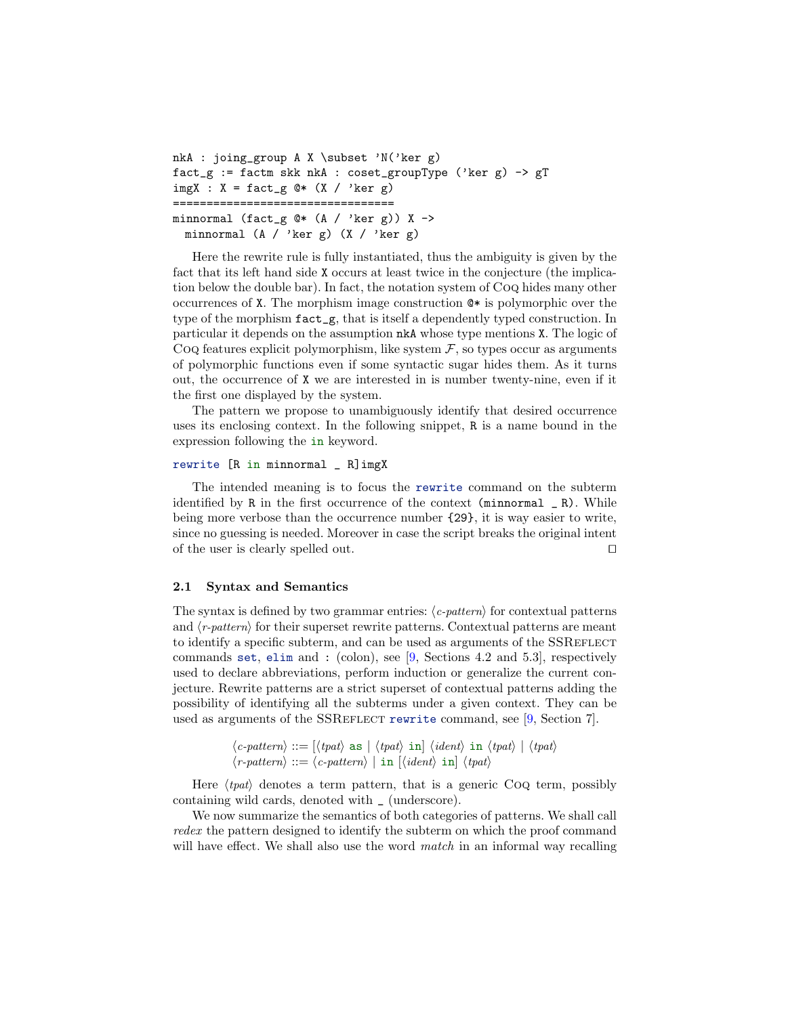```
nkA : joing_group A X \subset 'N('ker g)
fact_g := factm skk nkA : coset_groupType ('ker g) -> gT
imgX : X = fact_g @* (X / 'ker g)=================================
minnormal (fact_g Q* (A / 'ker g)) X ->
 minnormal (A / 'ker g) (X / 'ker g)
```
Here the rewrite rule is fully instantiated, thus the ambiguity is given by the fact that its left hand side X occurs at least twice in the conjecture (the implication below the double bar). In fact, the notation system of Coq hides many other occurrences of X. The morphism image construction @\* is polymorphic over the type of the morphism fact\_g, that is itself a dependently typed construction. In particular it depends on the assumption nkA whose type mentions X. The logic of Coq features explicit polymorphism, like system  $F$ , so types occur as arguments of polymorphic functions even if some syntactic sugar hides them. As it turns out, the occurrence of X we are interested in is number twenty-nine, even if it the first one displayed by the system.

The pattern we propose to unambiguously identify that desired occurrence uses its enclosing context. In the following snippet, R is a name bound in the expression following the in keyword.

## rewrite [R in minnormal \_ R]imgX

The intended meaning is to focus the rewrite command on the subterm identified by  $R$  in the first occurrence of the context (minnormal  $-R$ ). While being more verbose than the occurrence number {29}, it is way easier to write, since no guessing is needed. Moreover in case the script breaks the original intent of the user is clearly spelled out.  $\Box$ 

#### 2.1 Syntax and Semantics

The syntax is defined by two grammar entries:  $\langle c\text{-}pattern \rangle$  for contextual patterns and  $\langle r\text{-}pattern\rangle$  for their superset rewrite patterns. Contextual patterns are meant to identify a specific subterm, and can be used as arguments of the SSREFLECT commands set, elim and : (colon), see [\[9,](#page-15-9) Sections 4.2 and 5.3], respectively used to declare abbreviations, perform induction or generalize the current conjecture. Rewrite patterns are a strict superset of contextual patterns adding the possibility of identifying all the subterms under a given context. They can be used as arguments of the SSREFLECT rewrite command, see [\[9,](#page-15-9) Section 7].

```
\langle c\text{-pattern}\rangle ::= [\langle \text{tpat}\rangle \text{ as } | \langle \text{tpat}\rangle \text{ in}] \langle \text{ident}\rangle in \langle \text{tpat}\rangle | \langle \text{tpat}\rangle\langle r\text{-}pattern \rangle ::= \langle c\text{-}pattern \rangle \mid \text{in} \vert \langle ident \rangle \text{ in} \vert \langle \langle \text{t}pat \rangle \rangle
```
Here  $\langle \text{tpat} \rangle$  denotes a term pattern, that is a generic Coq term, possibly containing wild cards, denoted with \_ (underscore).

We now summarize the semantics of both categories of patterns. We shall call redex the pattern designed to identify the subterm on which the proof command will have effect. We shall also use the word *match* in an informal way recalling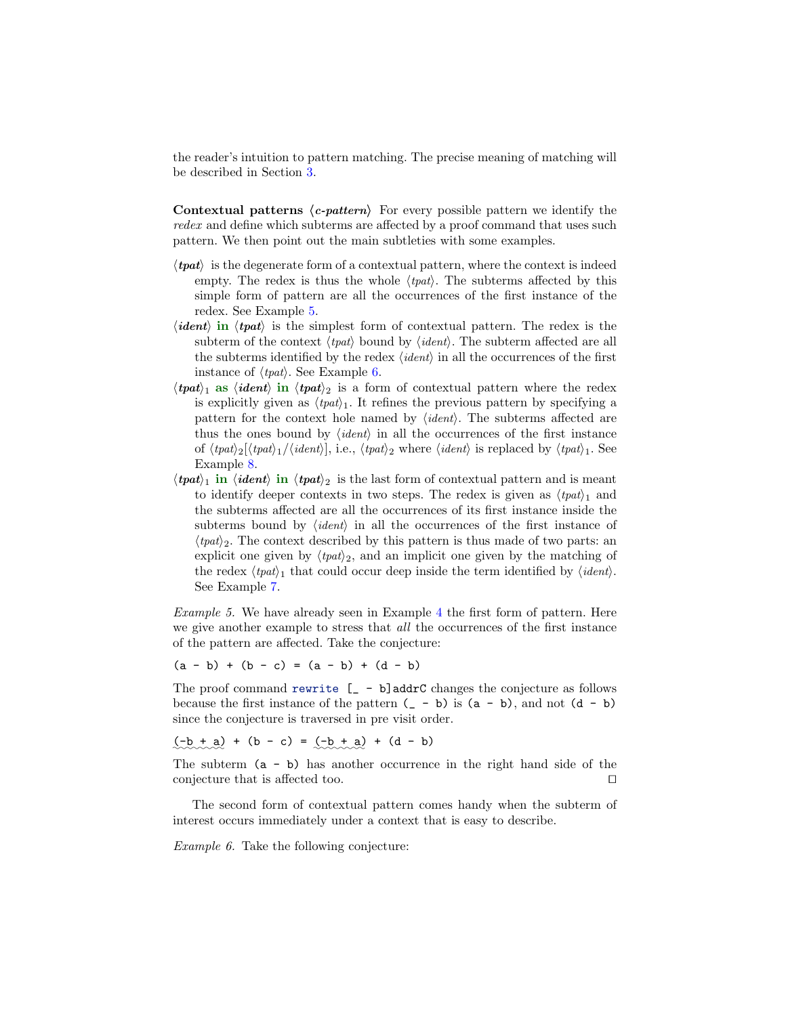the reader's intuition to pattern matching. The precise meaning of matching will be described in Section [3.](#page-10-0)

Contextual patterns  $\langle c\text{-}pattern \rangle$  For every possible pattern we identify the redex and define which subterms are affected by a proof command that uses such pattern. We then point out the main subtleties with some examples.

- $\langle \textit{tpat} \rangle$  is the degenerate form of a contextual pattern, where the context is indeed empty. The redex is thus the whole  $\langle \text{tpat} \rangle$ . The subterms affected by this simple form of pattern are all the occurrences of the first instance of the redex. See Example [5.](#page-7-0)
- $\langle *ident* \rangle$  in  $\langle *tpat* \rangle$  is the simplest form of contextual pattern. The redex is the subterm of the context  $\langle \text{tpath} \rangle$  bound by  $\langle \text{ident} \rangle$ . The subterm affected are all the subterms identified by the redex  $\langle ident \rangle$  in all the occurrences of the first instance of  $\langle \text{tpat} \rangle$ . See Example [6.](#page-7-1)
- $\langle \text{tpat} \rangle_1$  as  $\langle \text{ident} \rangle$  in  $\langle \text{tpat} \rangle_2$  is a form of contextual pattern where the redex is explicitly given as  $\langle \text{tpat} \rangle_1$ . It refines the previous pattern by specifying a pattern for the context hole named by  $\langle ident \rangle$ . The subterms affected are thus the ones bound by  $\langle ident \rangle$  in all the occurrences of the first instance of  $\langle \text{tpat}\rangle_2[\langle \text{tpat}\rangle_1/\langle \text{ident}\rangle],$  i.e.,  $\langle \text{tpat}\rangle_2$  where  $\langle \text{ident}\rangle$  is replaced by  $\langle \text{tpat}\rangle_1$ . See Example [8.](#page-8-0)
- $\langle \textit{tpat} \rangle_1$  in  $\langle \textit{ident} \rangle$  in  $\langle \textit{tpat} \rangle_2$  is the last form of contextual pattern and is meant to identify deeper contexts in two steps. The redex is given as  $\langle \text{tpat} \rangle_1$  and the subterms affected are all the occurrences of its first instance inside the subterms bound by  $\langle ident \rangle$  in all the occurrences of the first instance of  $\langle \text{tpat} \rangle_2$ . The context described by this pattern is thus made of two parts: an explicit one given by  $\langle \text{tpat} \rangle_2$ , and an implicit one given by the matching of the redex  $\langle \text{tpat} \rangle_1$  that could occur deep inside the term identified by  $\langle \text{ident} \rangle$ . See Example [7.](#page-8-1)

<span id="page-7-0"></span>Example 5. We have already seen in Example [4](#page-5-0) the first form of pattern. Here we give another example to stress that all the occurrences of the first instance of the pattern are affected. Take the conjecture:

 $(a - b) + (b - c) = (a - b) + (d - b)$ 

The proof command rewrite  $[- - b]$  addrC changes the conjecture as follows because the first instance of the pattern  $(\_ - b)$  is  $(a - b)$ , and not  $(d - b)$ since the conjecture is traversed in pre visit order.

$$
(-b + a) + (b - c) = (-b + a) + (d - b)
$$

The subterm  $(a - b)$  has another occurrence in the right hand side of the conjecture that is affected too.  $\Box$ 

The second form of contextual pattern comes handy when the subterm of interest occurs immediately under a context that is easy to describe.

<span id="page-7-1"></span>Example 6. Take the following conjecture: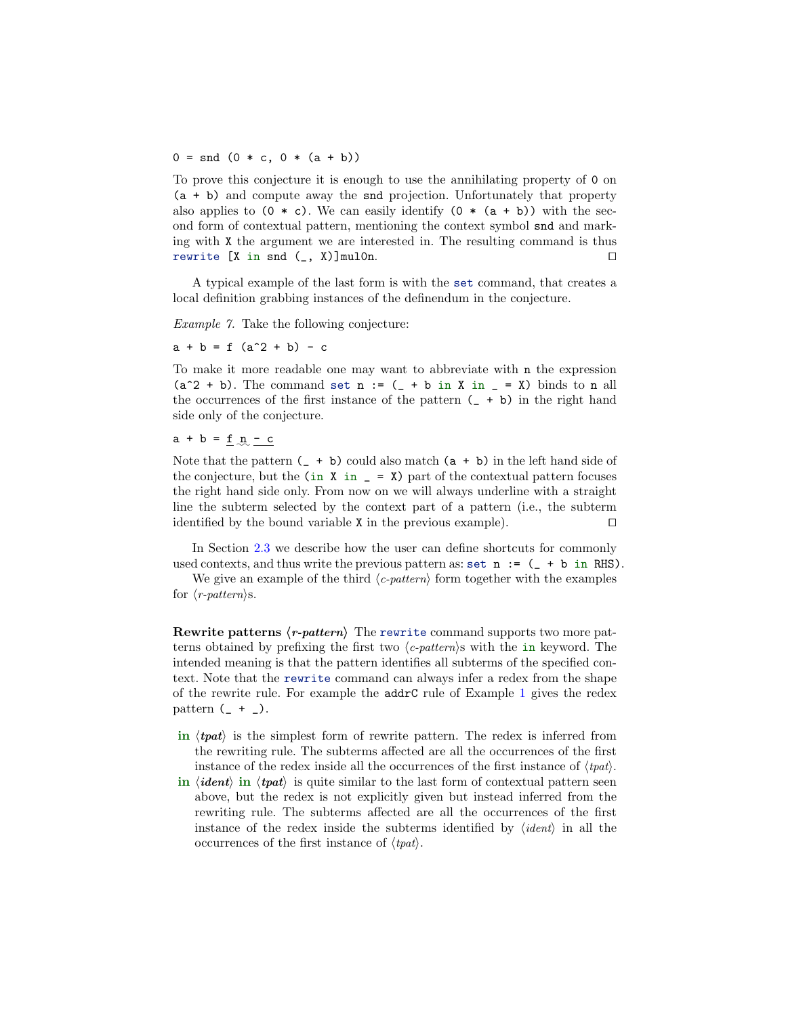$0 = \text{snd } (0 * c, 0 * (a + b))$ 

To prove this conjecture it is enough to use the annihilating property of 0 on (a + b) and compute away the snd projection. Unfortunately that property also applies to  $(0 * c)$ . We can easily identify  $(0 * (a + b))$  with the second form of contextual pattern, mentioning the context symbol snd and marking with X the argument we are interested in. The resulting command is thus rewrite  $[X \text{ in } \text{snd } (\_, X)]$  mul0n.

A typical example of the last form is with the set command, that creates a local definition grabbing instances of the definendum in the conjecture.

<span id="page-8-1"></span>Example 7. Take the following conjecture:

 $a + b = f (a^2 + b) - c$ 

To make it more readable one may want to abbreviate with n the expression  $(a^2 + b)$ . The command set n :=  $(- + b \text{ in } X \text{ in } - = X)$  binds to n all the occurrences of the first instance of the pattern  $($  + b) in the right hand side only of the conjecture.

 $a + b = f n - c$ 

Note that the pattern  $($  + b) could also match  $(a + b)$  in the left hand side of the conjecture, but the (in X in  $=$   $=$  X) part of the contextual pattern focuses the right hand side only. From now on we will always underline with a straight line the subterm selected by the context part of a pattern (i.e., the subterm identified by the bound variable  $X$  in the previous example).  $\Box$ 

In Section [2.3](#page-10-1) we describe how the user can define shortcuts for commonly used contexts, and thus write the previous pattern as: set  $n := (- + b \text{ in RHS}).$ 

We give an example of the third  $\langle c\text{-pattern} \rangle$  form together with the examples for  $\langle r\text{-}pattern \rangle$ s.

**Rewrite patterns**  $\langle r\text{-}pattern \rangle$  The rewrite command supports two more patterns obtained by prefixing the first two  $\langle c\text{-pattern}\rangle$ s with the in keyword. The intended meaning is that the pattern identifies all subterms of the specified context. Note that the rewrite command can always infer a redex from the shape of the rewrite rule. For example the addrC rule of Example [1](#page-2-0) gives the redex pattern  $($  +  $)$ .

- in  $\langle \text{tpat} \rangle$  is the simplest form of rewrite pattern. The redex is inferred from the rewriting rule. The subterms affected are all the occurrences of the first instance of the redex inside all the occurrences of the first instance of  $\langle \text{tpat} \rangle$ .
- <span id="page-8-0"></span>in  $\langle$ **ident**) in  $\langle$ **t***pat* $\rangle$  is quite similar to the last form of contextual pattern seen above, but the redex is not explicitly given but instead inferred from the rewriting rule. The subterms affected are all the occurrences of the first instance of the redex inside the subterms identified by  $\langle ident \rangle$  in all the occurrences of the first instance of  $\langle \text{tpat} \rangle$ .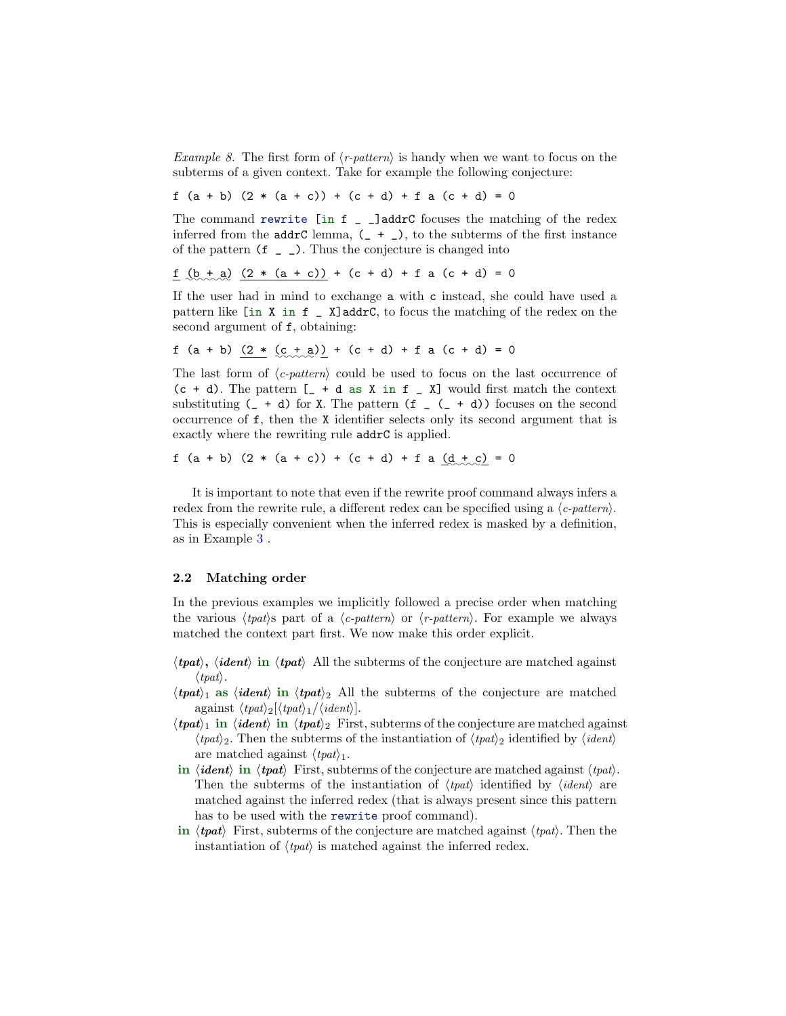*Example 8.* The first form of  $\langle r\text{-}pattern \rangle$  is handy when we want to focus on the subterms of a given context. Take for example the following conjecture:

 $f (a + b) (2 * (a + c)) + (c + d) + f a (c + d) = 0$ 

The command rewrite [in f \_ \_]addrC focuses the matching of the redex inferred from the addrC lemma,  $($  +  $)$ , to the subterms of the first instance of the pattern  $(f \_$ . Thus the conjecture is changed into

$$
\underline{f}(\underline{b} + \underline{a}) (\underline{2} * (a + c)) + (c + d) + f a (c + d) = 0
$$

If the user had in mind to exchange a with c instead, she could have used a pattern like [in X in f \_ X]addrC, to focus the matching of the redex on the second argument of f, obtaining:

f (a + b) 
$$
\underline{(2 * (c + a))}
$$
 + (c + d) + f a (c + d) = 0

The last form of  $\langle c\text{-pattern}\rangle$  could be used to focus on the last occurrence of  $(c + d)$ . The pattern  $[- + d \text{ as } X \text{ in } f \text{ and } X]$  would first match the context substituting  $($  + d) for X. The pattern  $(f ($   $($  + d) focuses on the second occurrence of f, then the X identifier selects only its second argument that is exactly where the rewriting rule addrC is applied.

f (a + b) (2 \* (a + c)) + (c + d) + f a 
$$
\underline{d + c}
$$
 = 0

It is important to note that even if the rewrite proof command always infers a redex from the rewrite rule, a different redex can be specified using a  $\langle c\text{-pattern}\rangle$ . This is especially convenient when the inferred redex is masked by a definition, as in Example [3](#page-4-0) .

#### 2.2 Matching order

In the previous examples we implicitly followed a precise order when matching the various  $\langle \text{tpat} \rangle$  part of a  $\langle \text{c-pattern} \rangle$  or  $\langle \text{r-pattern} \rangle$ . For example we always matched the context part first. We now make this order explicit.

- $\langle \textit{tpat} \rangle$ ,  $\langle \textit{ident} \rangle$  in  $\langle \textit{tpat} \rangle$  All the subterms of the conjecture are matched against  $\langle \text{tpat} \rangle$ .
- $\langle \textit{tpat} \rangle_1$  as  $\langle \textit{ident} \rangle$  in  $\langle \textit{tpat} \rangle_2$  All the subterms of the conjecture are matched against  $\langle \text{tpat}\rangle_2[\langle \text{tpat}\rangle_1/\langle \text{ident}\rangle].$
- $\langle \textit{tpat} \rangle_1$  in  $\langle \textit{ident} \rangle$  in  $\langle \textit{tpat} \rangle_2$  First, subterms of the conjecture are matched against  $\langle \text{tpat} \rangle_2$ . Then the subterms of the instantiation of  $\langle \text{tpat} \rangle_2$  identified by  $\langle \text{ident} \rangle$ are matched against  $\langle \text{tpat} \rangle_1$ .
- in  $\langle$ *ident* $\rangle$  in  $\langle$ *tpat* $\rangle$ . First, subterms of the conjecture are matched against  $\langle$ *tpat* $\rangle$ . Then the subterms of the instantiation of  $\langle \text{tpat} \rangle$  identified by  $\langle \text{ident} \rangle$  are matched against the inferred redex (that is always present since this pattern has to be used with the rewrite proof command).
- in  $\langle \text{tpat} \rangle$  First, subterms of the conjecture are matched against  $\langle \text{tpat} \rangle$ . Then the instantiation of  $\langle \text{tpat} \rangle$  is matched against the inferred redex.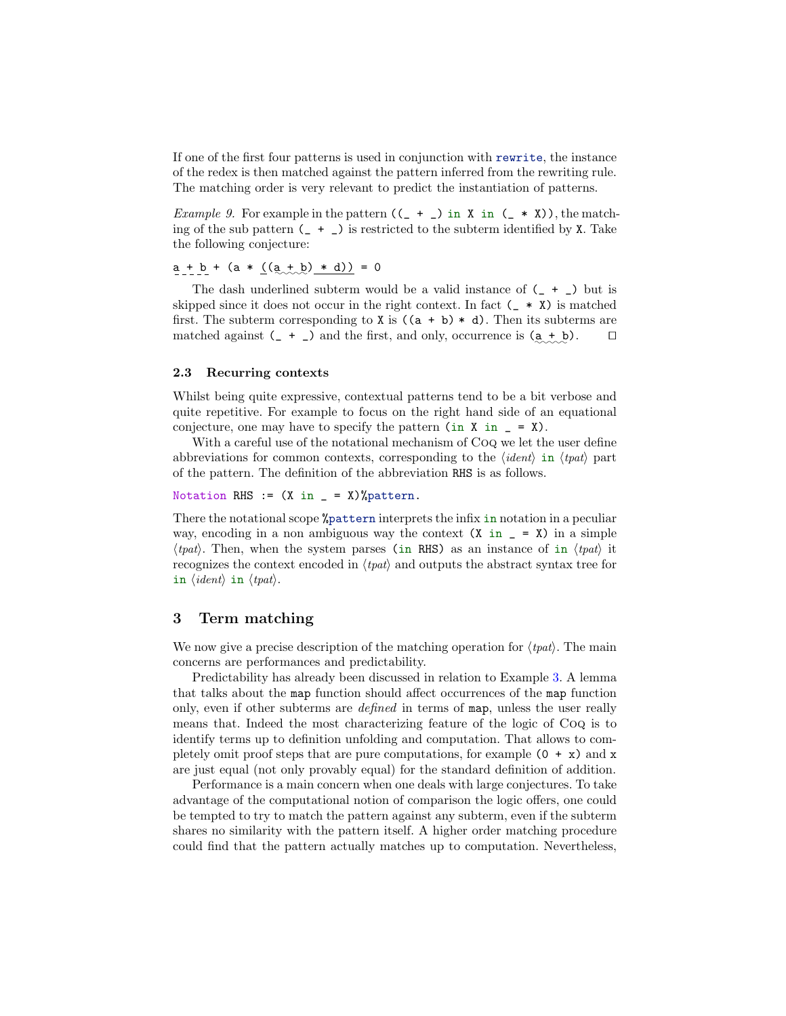If one of the first four patterns is used in conjunction with rewrite, the instance of the redex is then matched against the pattern inferred from the rewriting rule. The matching order is very relevant to predict the instantiation of patterns.

*Example 9.* For example in the pattern  $((- + _)$  in X in  $(- * X)$ , the matching of the sub pattern  $($  +  $)$  is restricted to the subterm identified by X. Take the following conjecture:

 $a + b + (a * (a + b) * d)) = 0$ 

The dash underlined subterm would be a valid instance of  $($   $+$   $)$  but is skipped since it does not occur in the right context. In fact  $($   $*$   $X)$  is matched first. The subterm corresponding to **X** is  $((a + b) * d)$ . Then its subterms are matched against  $(\underline{\ } + \underline{\ } )$  and the first, and only, occurrence is  $(\underline{\ } + \underline{\ } )$ .  $\square$ 

#### <span id="page-10-1"></span>2.3 Recurring contexts

Whilst being quite expressive, contextual patterns tend to be a bit verbose and quite repetitive. For example to focus on the right hand side of an equational conjecture, one may have to specify the pattern (in X in  $=$   $\in$  X).

With a careful use of the notational mechanism of Coq we let the user define abbreviations for common contexts, corresponding to the  $\langle ident \rangle$  in  $\langle \text{tpat} \rangle$  part of the pattern. The definition of the abbreviation RHS is as follows.

Notation RHS :=  $(X \in \mathbb{R})$ % pattern.

There the notational scope %pattern interprets the infix in notation in a peculiar way, encoding in a non ambiguous way the context  $(X \in \mathbb{R})$  in a simple  $\langle \text{tpat} \rangle$ . Then, when the system parses (in RHS) as an instance of in  $\langle \text{tpat} \rangle$  it recognizes the context encoded in  $\langle \text{tpat} \rangle$  and outputs the abstract syntax tree for in  $\langle ident \rangle$  in  $\langle \text{tpat} \rangle$ .

### <span id="page-10-0"></span>3 Term matching

We now give a precise description of the matching operation for  $\langle \text{tpat} \rangle$ . The main concerns are performances and predictability.

Predictability has already been discussed in relation to Example [3.](#page-4-0) A lemma that talks about the map function should affect occurrences of the map function only, even if other subterms are defined in terms of map, unless the user really means that. Indeed the most characterizing feature of the logic of Coq is to identify terms up to definition unfolding and computation. That allows to completely omit proof steps that are pure computations, for example  $(0 + x)$  and x are just equal (not only provably equal) for the standard definition of addition.

Performance is a main concern when one deals with large conjectures. To take advantage of the computational notion of comparison the logic offers, one could be tempted to try to match the pattern against any subterm, even if the subterm shares no similarity with the pattern itself. A higher order matching procedure could find that the pattern actually matches up to computation. Nevertheless,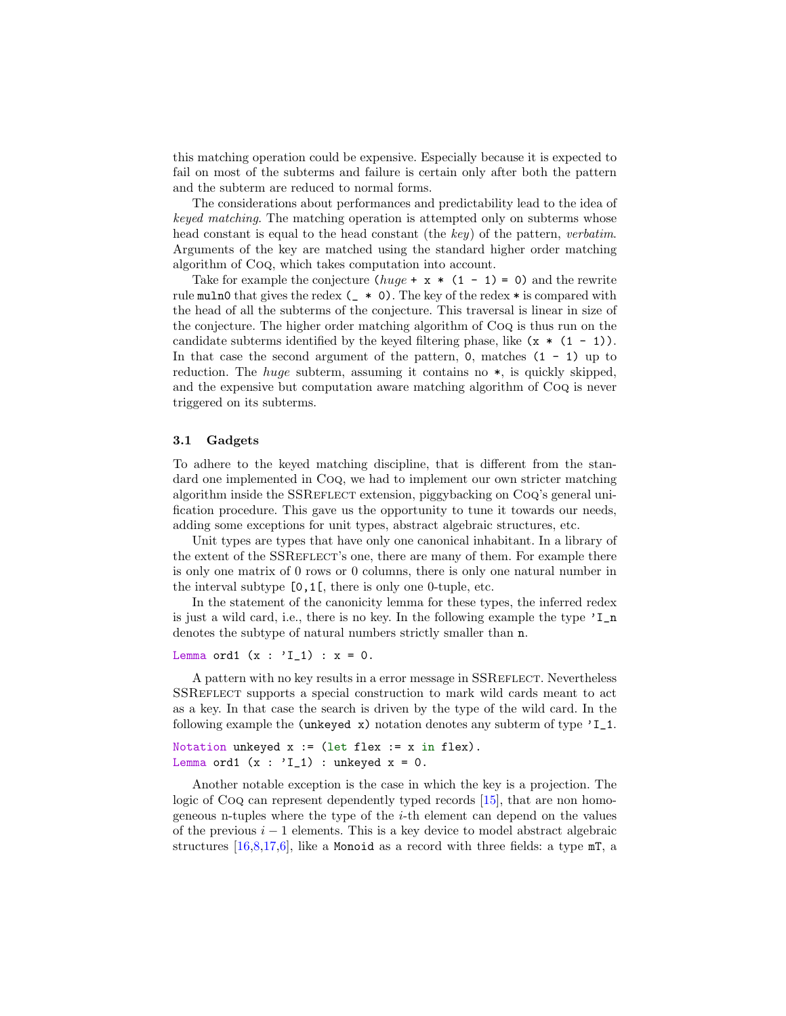this matching operation could be expensive. Especially because it is expected to fail on most of the subterms and failure is certain only after both the pattern and the subterm are reduced to normal forms.

The considerations about performances and predictability lead to the idea of keyed matching. The matching operation is attempted only on subterms whose head constant is equal to the head constant (the key) of the pattern, verbatim. Arguments of the key are matched using the standard higher order matching algorithm of Coq, which takes computation into account.

Take for example the conjecture ( $huge + x * (1 - 1) = 0$ ) and the rewrite rule muln0 that gives the redex  $($   $*$  0). The key of the redex  $*$  is compared with the head of all the subterms of the conjecture. This traversal is linear in size of the conjecture. The higher order matching algorithm of Coq is thus run on the candidate subterms identified by the keyed filtering phase, like  $(x * (1 - 1))$ . In that case the second argument of the pattern,  $0$ , matches  $(1 - 1)$  up to reduction. The *huge* subterm, assuming it contains no  $\ast$ , is quickly skipped, and the expensive but computation aware matching algorithm of Coq is never triggered on its subterms.

#### 3.1 Gadgets

To adhere to the keyed matching discipline, that is different from the standard one implemented in Coq, we had to implement our own stricter matching algorithm inside the SSREFLECT extension, piggybacking on CoQ's general unification procedure. This gave us the opportunity to tune it towards our needs, adding some exceptions for unit types, abstract algebraic structures, etc.

Unit types are types that have only one canonical inhabitant. In a library of the extent of the SSREFLECT's one, there are many of them. For example there is only one matrix of 0 rows or 0 columns, there is only one natural number in the interval subtype [0,1[, there is only one 0-tuple, etc.

In the statement of the canonicity lemma for these types, the inferred redex is just a wild card, i.e., there is no key. In the following example the type  $'I_n$ denotes the subtype of natural numbers strictly smaller than n.

#### Lemma ord1 ( $x : 'I_1$ ) :  $x = 0$ .

A pattern with no key results in a error message in SSREFLECT. Nevertheless SSReflect supports a special construction to mark wild cards meant to act as a key. In that case the search is driven by the type of the wild card. In the following example the (unkeyed x) notation denotes any subterm of type  $'I_1$ .

Notation unkeyed  $x :=$  (let flex  $:= x$  in flex). Lemma ord1  $(x : 'I_1) :$  unkeyed  $x = 0$ .

Another notable exception is the case in which the key is a projection. The logic of CoQ can represent dependently typed records [\[15\]](#page-15-12), that are non homogeneous n-tuples where the type of the i-th element can depend on the values of the previous  $i - 1$  elements. This is a key device to model abstract algebraic structures  $[16,8,17,6]$  $[16,8,17,6]$  $[16,8,17,6]$  $[16,8,17,6]$ , like a Monoid as a record with three fields: a type  $m$ T, a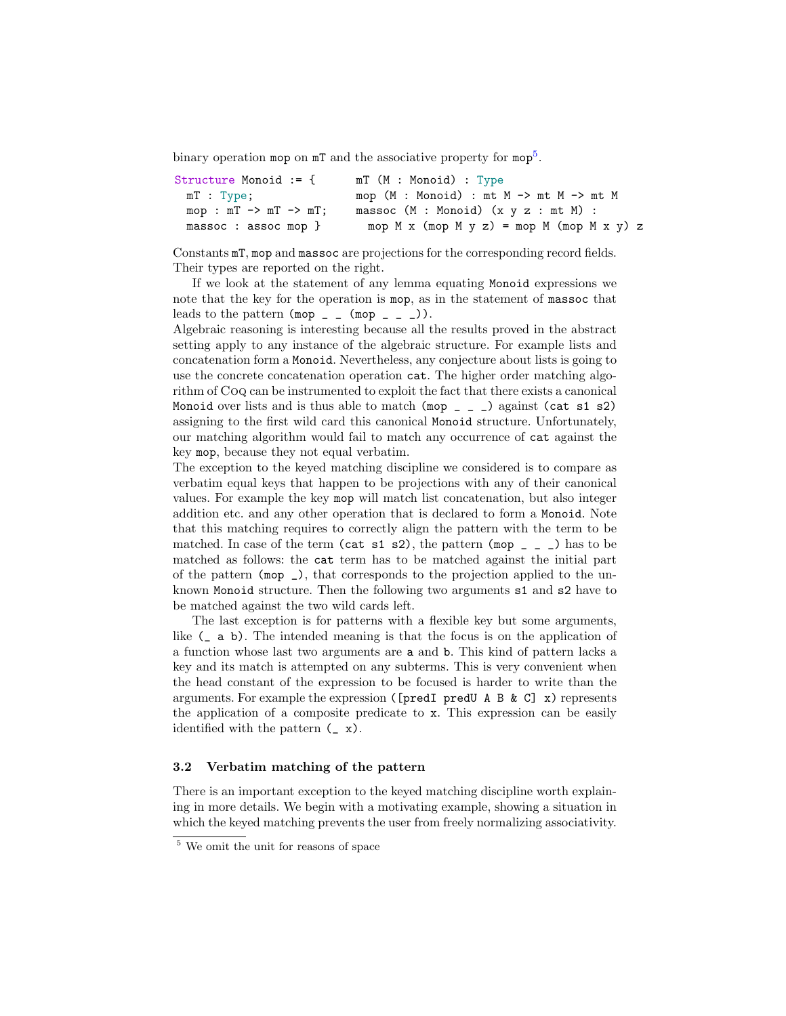binary operation mop on mT and the associative property for mop<sup>[5](#page-12-0)</sup>.

| Structure Monoid := {                     | $mT$ (M : Monoid) : Type                                    |
|-------------------------------------------|-------------------------------------------------------------|
| $mT$ : Type;                              | mop $(M : Monoid) : mt M \rightarrow mt M \rightarrow mt M$ |
| $mop: mT \rightarrow mT \rightarrow mT$ ; | massoc $(M : Monoid)$ $(x \ y \ z : mt M)$ :                |
| $massoc: assoc, mog.}$                    | mop $M \times (mop M y z) = mop M (mop M x y) z$            |

Constants mT, mop and massoc are projections for the corresponding record fields. Their types are reported on the right.

If we look at the statement of any lemma equating Monoid expressions we note that the key for the operation is mop, as in the statement of massoc that leads to the pattern  $(\text{map} \_ - \_ \text{map} \_ - \_$ ).

Algebraic reasoning is interesting because all the results proved in the abstract setting apply to any instance of the algebraic structure. For example lists and concatenation form a Monoid. Nevertheless, any conjecture about lists is going to use the concrete concatenation operation cat. The higher order matching algorithm of Coq can be instrumented to exploit the fact that there exists a canonical Monoid over lists and is thus able to match (mop  $\angle$   $\angle$   $\angle$  ) against (cat s1 s2) assigning to the first wild card this canonical Monoid structure. Unfortunately, our matching algorithm would fail to match any occurrence of cat against the key mop, because they not equal verbatim.

The exception to the keyed matching discipline we considered is to compare as verbatim equal keys that happen to be projections with any of their canonical values. For example the key mop will match list concatenation, but also integer addition etc. and any other operation that is declared to form a Monoid. Note that this matching requires to correctly align the pattern with the term to be matched. In case of the term (cat  $s1$   $s2$ ), the pattern (mop  $\overline{\phantom{a}}$   $\overline{\phantom{a}}$   $\overline{\phantom{a}}$  ) has to be matched as follows: the cat term has to be matched against the initial part of the pattern (mop \_), that corresponds to the projection applied to the unknown Monoid structure. Then the following two arguments s1 and s2 have to be matched against the two wild cards left.

The last exception is for patterns with a flexible key but some arguments, like (\_ a b). The intended meaning is that the focus is on the application of a function whose last two arguments are a and b. This kind of pattern lacks a key and its match is attempted on any subterms. This is very convenient when the head constant of the expression to be focused is harder to write than the arguments. For example the expression ( $[predI predU A B & C] x$ ) represents the application of a composite predicate to x. This expression can be easily identified with the pattern  $($   $\mathbf{x})$ .

#### 3.2 Verbatim matching of the pattern

There is an important exception to the keyed matching discipline worth explaining in more details. We begin with a motivating example, showing a situation in which the keyed matching prevents the user from freely normalizing associativity.

<span id="page-12-0"></span><sup>5</sup> We omit the unit for reasons of space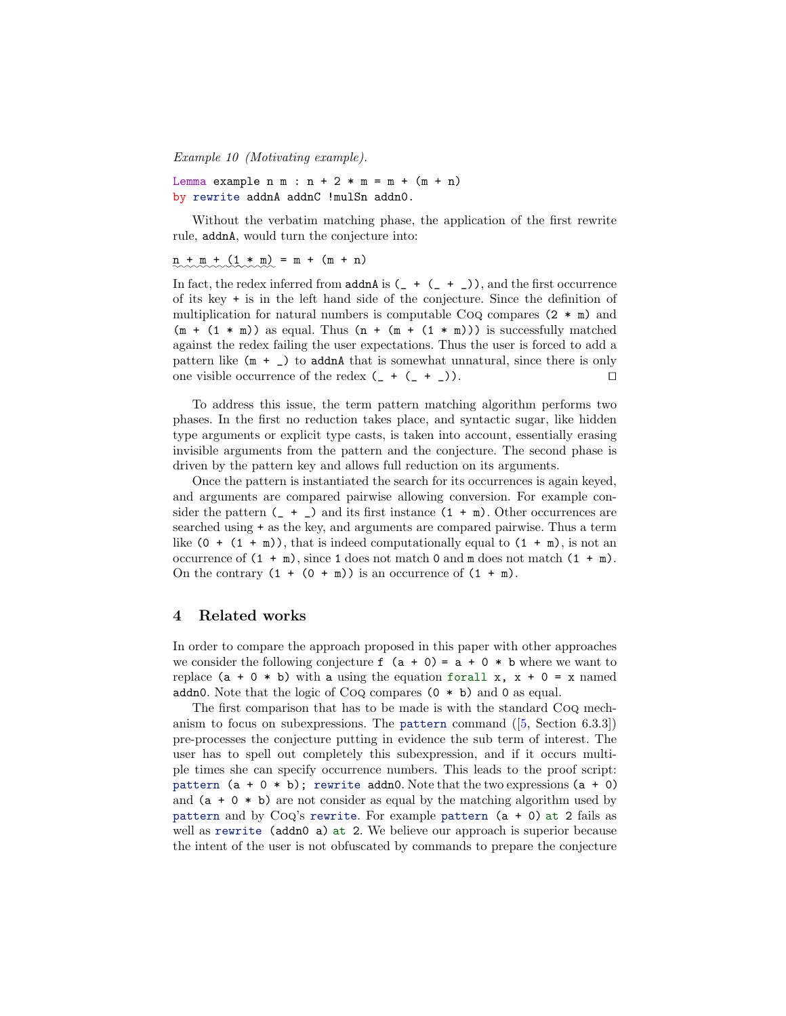Example 10 (Motivating example).

Lemma example  $n$  m :  $n + 2 * m = m + (m + n)$ by rewrite addnA addnC !mulSn addn0.

Without the verbatim matching phase, the application of the first rewrite rule, addnA, would turn the conjecture into:

$$
n + m + (1 * m) = m + (m + n)
$$

In fact, the redex inferred from  $\text{addnA}$  is  $(\_ + (\_ + \_)))$ , and the first occurrence of its key + is in the left hand side of the conjecture. Since the definition of multiplication for natural numbers is computable CoQ compares  $(2 * m)$  and  $(m + (1 * m))$  as equal. Thus  $(n + (m + (1 * m)))$  is successfully matched against the redex failing the user expectations. Thus the user is forced to add a pattern like  $(m + )$  to addnA that is somewhat unnatural, since there is only one visible occurrence of the redex  $(\_ + (\_ + \_))$ .

To address this issue, the term pattern matching algorithm performs two phases. In the first no reduction takes place, and syntactic sugar, like hidden type arguments or explicit type casts, is taken into account, essentially erasing invisible arguments from the pattern and the conjecture. The second phase is driven by the pattern key and allows full reduction on its arguments.

Once the pattern is instantiated the search for its occurrences is again keyed, and arguments are compared pairwise allowing conversion. For example consider the pattern  $(\_ + \_)$  and its first instance  $(1 + m)$ . Other occurrences are searched using + as the key, and arguments are compared pairwise. Thus a term like  $(0 + (1 + m))$ , that is indeed computationally equal to  $(1 + m)$ , is not an occurrence of  $(1 + m)$ , since 1 does not match 0 and m does not match  $(1 + m)$ . On the contrary  $(1 + (0 + m))$  is an occurrence of  $(1 + m)$ .

## <span id="page-13-0"></span>4 Related works

In order to compare the approach proposed in this paper with other approaches we consider the following conjecture  $f(a + 0) = a + 0 * b$  where we want to replace  $(a + 0 * b)$  with a using the equation for all  $x, x + 0 = x$  named addn0. Note that the logic of Coq compares (0 \* b) and 0 as equal.

The first comparison that has to be made is with the standard Coq mechanism to focus on subexpressions. The pattern command ([\[5,](#page-15-14) Section 6.3.3]) pre-processes the conjecture putting in evidence the sub term of interest. The user has to spell out completely this subexpression, and if it occurs multiple times she can specify occurrence numbers. This leads to the proof script: pattern  $(a + 0 * b)$ ; rewrite addn0. Note that the two expressions  $(a + 0)$ and  $(a + 0 * b)$  are not consider as equal by the matching algorithm used by pattern and by Coq's rewrite. For example pattern (a + 0) at 2 fails as well as rewrite (addn0 a) at 2. We believe our approach is superior because the intent of the user is not obfuscated by commands to prepare the conjecture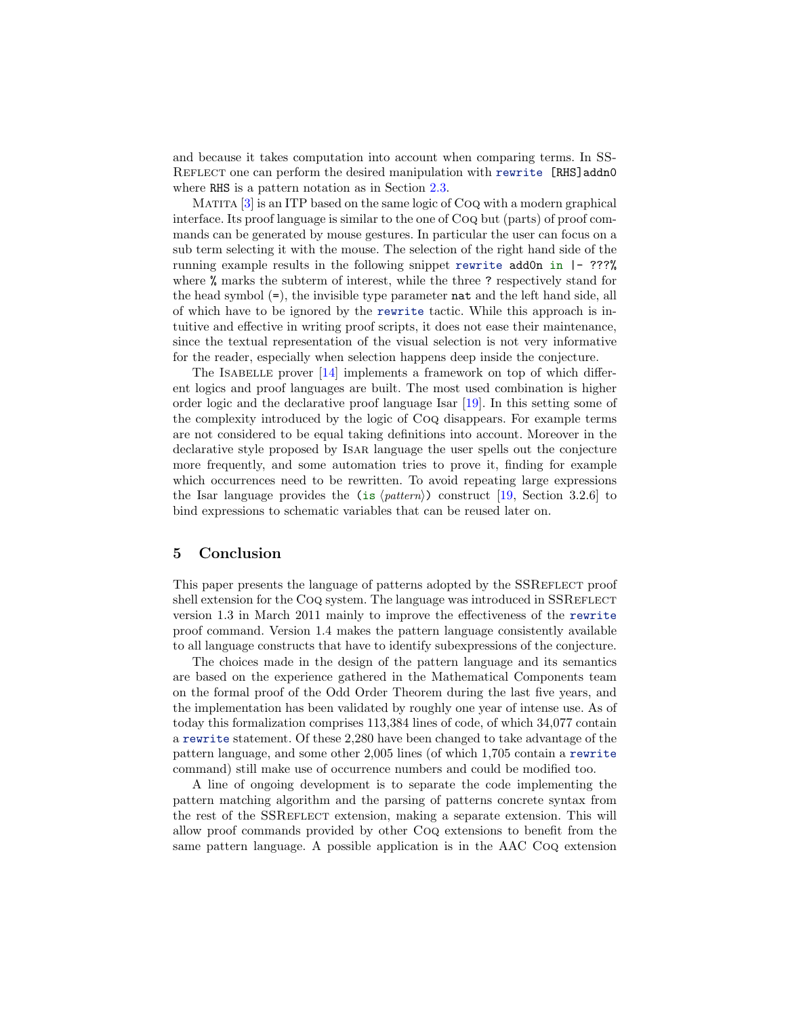and because it takes computation into account when comparing terms. In SS-REFLECT one can perform the desired manipulation with rewrite [RHS]addn0 where RHS is a pattern notation as in Section [2.3.](#page-10-1)

MATITA [\[3\]](#page-15-15) is an ITP based on the same logic of CoQ with a modern graphical interface. Its proof language is similar to the one of Coq but (parts) of proof commands can be generated by mouse gestures. In particular the user can focus on a sub term selecting it with the mouse. The selection of the right hand side of the running example results in the following snippet rewrite add0n in  $|-$  ???% where % marks the subterm of interest, while the three ? respectively stand for the head symbol (=), the invisible type parameter nat and the left hand side, all of which have to be ignored by the rewrite tactic. While this approach is intuitive and effective in writing proof scripts, it does not ease their maintenance, since the textual representation of the visual selection is not very informative for the reader, especially when selection happens deep inside the conjecture.

The ISABELLE prover [\[14\]](#page-15-16) implements a framework on top of which different logics and proof languages are built. The most used combination is higher order logic and the declarative proof language Isar [\[19\]](#page-15-17). In this setting some of the complexity introduced by the logic of Coq disappears. For example terms are not considered to be equal taking definitions into account. Moreover in the declarative style proposed by Isar language the user spells out the conjecture more frequently, and some automation tries to prove it, finding for example which occurrences need to be rewritten. To avoid repeating large expressions the Isar language provides the  $(is / pattern)$  construct [\[19,](#page-15-17) Section 3.2.6] to bind expressions to schematic variables that can be reused later on.

## 5 Conclusion

This paper presents the language of patterns adopted by the SSREFLECT proof shell extension for the CoQ system. The language was introduced in SSREFLECT version 1.3 in March 2011 mainly to improve the effectiveness of the rewrite proof command. Version 1.4 makes the pattern language consistently available to all language constructs that have to identify subexpressions of the conjecture.

The choices made in the design of the pattern language and its semantics are based on the experience gathered in the Mathematical Components team on the formal proof of the Odd Order Theorem during the last five years, and the implementation has been validated by roughly one year of intense use. As of today this formalization comprises 113,384 lines of code, of which 34,077 contain a rewrite statement. Of these 2,280 have been changed to take advantage of the pattern language, and some other 2,005 lines (of which 1,705 contain a rewrite command) still make use of occurrence numbers and could be modified too.

A line of ongoing development is to separate the code implementing the pattern matching algorithm and the parsing of patterns concrete syntax from the rest of the SSREFLECT extension, making a separate extension. This will allow proof commands provided by other Coq extensions to benefit from the same pattern language. A possible application is in the AAC Coq extension